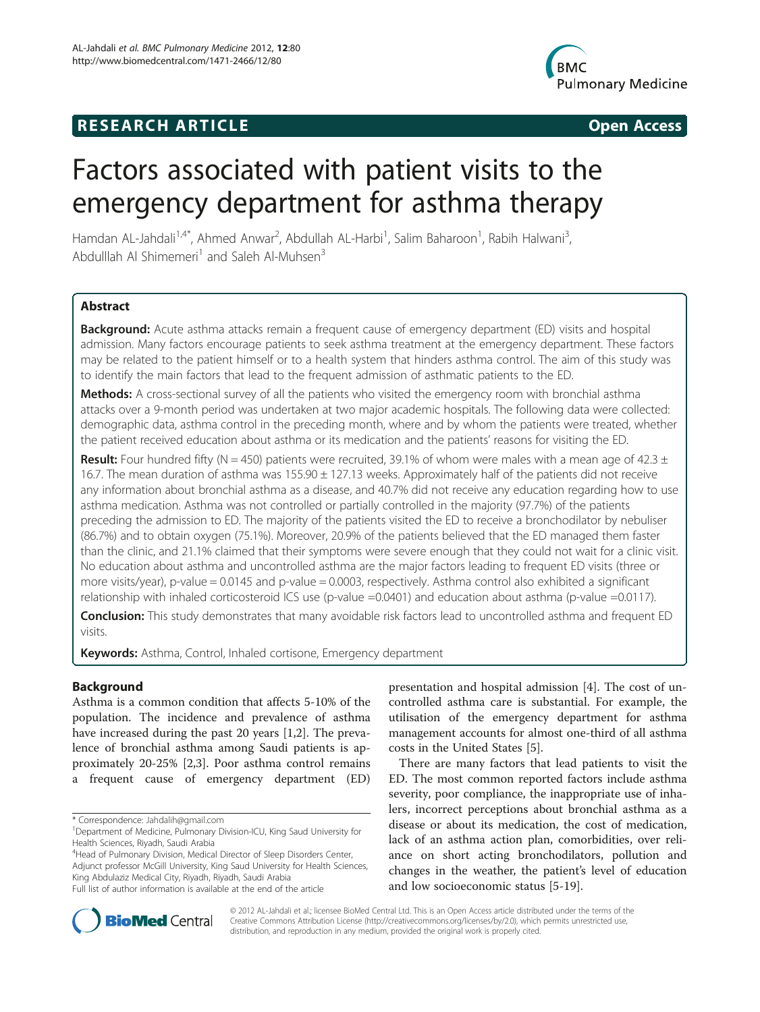# **RESEARCH ARTICLE Example 2014 The SEAR CH ACCESS**



# Factors associated with patient visits to the emergency department for asthma therapy

Hamdan AL-Jahdali<sup>1,4\*</sup>, Ahmed Anwar<sup>2</sup>, Abdullah AL-Harbi<sup>1</sup>, Salim Baharoon<sup>1</sup>, Rabih Halwani<sup>3</sup> , Abdulllah Al Shimemeri<sup>1</sup> and Saleh Al-Muhsen<sup>3</sup>

# **Abstract**

Background: Acute asthma attacks remain a frequent cause of emergency department (ED) visits and hospital admission. Many factors encourage patients to seek asthma treatment at the emergency department. These factors may be related to the patient himself or to a health system that hinders asthma control. The aim of this study was to identify the main factors that lead to the frequent admission of asthmatic patients to the ED.

Methods: A cross-sectional survey of all the patients who visited the emergency room with bronchial asthma attacks over a 9-month period was undertaken at two major academic hospitals. The following data were collected: demographic data, asthma control in the preceding month, where and by whom the patients were treated, whether the patient received education about asthma or its medication and the patients' reasons for visiting the ED.

Result: Four hundred fifty (N = 450) patients were recruited, 39.1% of whom were males with a mean age of 42.3  $\pm$ 16.7. The mean duration of asthma was  $155.90 \pm 127.13$  weeks. Approximately half of the patients did not receive any information about bronchial asthma as a disease, and 40.7% did not receive any education regarding how to use asthma medication. Asthma was not controlled or partially controlled in the majority (97.7%) of the patients preceding the admission to ED. The majority of the patients visited the ED to receive a bronchodilator by nebuliser (86.7%) and to obtain oxygen (75.1%). Moreover, 20.9% of the patients believed that the ED managed them faster than the clinic, and 21.1% claimed that their symptoms were severe enough that they could not wait for a clinic visit. No education about asthma and uncontrolled asthma are the major factors leading to frequent ED visits (three or more visits/year), p-value =  $0.0145$  and p-value =  $0.0003$ , respectively. Asthma control also exhibited a significant relationship with inhaled corticosteroid ICS use (p-value =0.0401) and education about asthma (p-value =0.0117).

Conclusion: This study demonstrates that many avoidable risk factors lead to uncontrolled asthma and frequent ED visits.

Keywords: Asthma, Control, Inhaled cortisone, Emergency department

# Background

Asthma is a common condition that affects 5-10% of the population. The incidence and prevalence of asthma have increased during the past 20 years [\[1,2](#page-5-0)]. The prevalence of bronchial asthma among Saudi patients is approximately 20-25% [\[2](#page-5-0),[3](#page-5-0)]. Poor asthma control remains a frequent cause of emergency department (ED)

4Head of Pulmonary Division, Medical Director of Sleep Disorders Center, Adjunct professor McGill University, King Saud University for Health Sciences, King Abdulaziz Medical City, Riyadh, Riyadh, Saudi Arabia Full list of author information is available at the end of the article

presentation and hospital admission [\[4\]](#page-5-0). The cost of uncontrolled asthma care is substantial. For example, the utilisation of the emergency department for asthma management accounts for almost one-third of all asthma costs in the United States [[5\]](#page-5-0).

There are many factors that lead patients to visit the ED. The most common reported factors include asthma severity, poor compliance, the inappropriate use of inhalers, incorrect perceptions about bronchial asthma as a disease or about its medication, the cost of medication, lack of an asthma action plan, comorbidities, over reliance on short acting bronchodilators, pollution and changes in the weather, the patient's level of education and low socioeconomic status [\[5](#page-5-0)-[19\]](#page-5-0).



© 2012 AL-Jahdali et al.; licensee BioMed Central Ltd. This is an Open Access article distributed under the terms of the Creative Commons Attribution License (<http://creativecommons.org/licenses/by/2.0>), which permits unrestricted use, distribution, and reproduction in any medium, provided the original work is properly cited.

<sup>\*</sup> Correspondence: [Jahdalih@gmail.com](mailto:Jahdalih@gmail.com) <sup>1</sup>

<sup>&</sup>lt;sup>1</sup>Department of Medicine, Pulmonary Division-ICU, King Saud University for Health Sciences, Riyadh, Saudi Arabia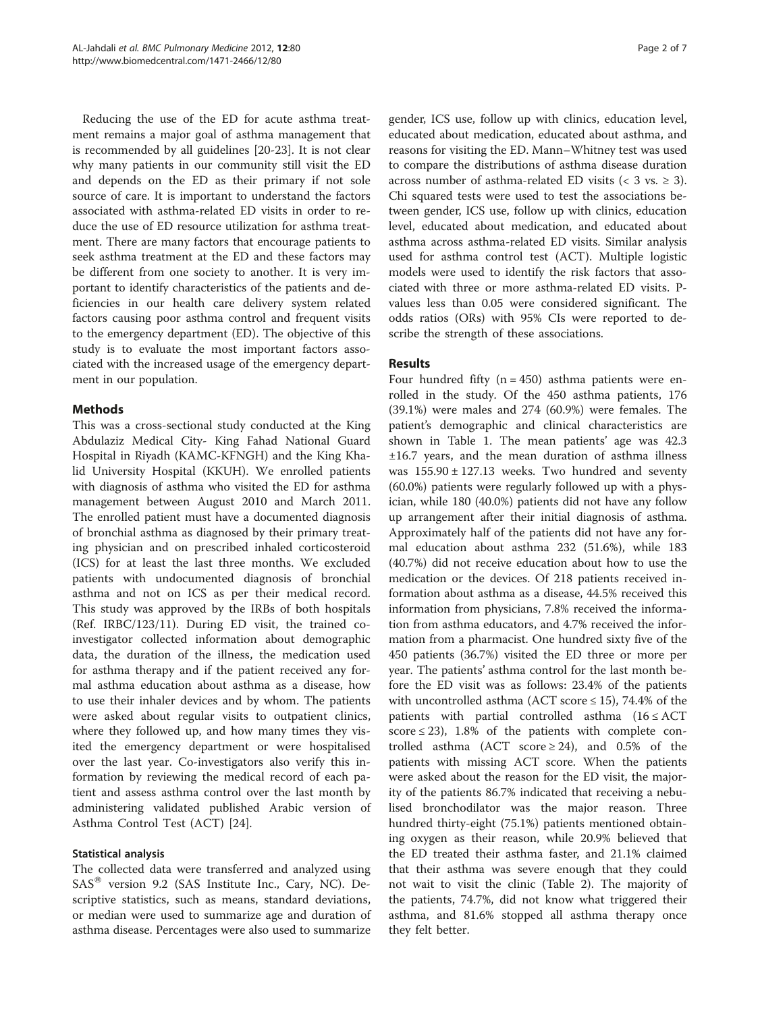Reducing the use of the ED for acute asthma treatment remains a major goal of asthma management that is recommended by all guidelines [\[20](#page-5-0)-[23](#page-5-0)]. It is not clear why many patients in our community still visit the ED and depends on the ED as their primary if not sole source of care. It is important to understand the factors associated with asthma-related ED visits in order to reduce the use of ED resource utilization for asthma treatment. There are many factors that encourage patients to seek asthma treatment at the ED and these factors may be different from one society to another. It is very important to identify characteristics of the patients and deficiencies in our health care delivery system related factors causing poor asthma control and frequent visits to the emergency department (ED). The objective of this study is to evaluate the most important factors associated with the increased usage of the emergency department in our population.

# Methods

This was a cross-sectional study conducted at the King Abdulaziz Medical City- King Fahad National Guard Hospital in Riyadh (KAMC-KFNGH) and the King Khalid University Hospital (KKUH). We enrolled patients with diagnosis of asthma who visited the ED for asthma management between August 2010 and March 2011. The enrolled patient must have a documented diagnosis of bronchial asthma as diagnosed by their primary treating physician and on prescribed inhaled corticosteroid (ICS) for at least the last three months. We excluded patients with undocumented diagnosis of bronchial asthma and not on ICS as per their medical record. This study was approved by the IRBs of both hospitals (Ref. IRBC/123/11). During ED visit, the trained coinvestigator collected information about demographic data, the duration of the illness, the medication used for asthma therapy and if the patient received any formal asthma education about asthma as a disease, how to use their inhaler devices and by whom. The patients were asked about regular visits to outpatient clinics, where they followed up, and how many times they visited the emergency department or were hospitalised over the last year. Co-investigators also verify this information by reviewing the medical record of each patient and assess asthma control over the last month by administering validated published Arabic version of Asthma Control Test (ACT) [[24](#page-6-0)].

# Statistical analysis

The collected data were transferred and analyzed using  $SAS^{\omega}$  version 9.2 (SAS Institute Inc., Cary, NC). Descriptive statistics, such as means, standard deviations, or median were used to summarize age and duration of asthma disease. Percentages were also used to summarize

gender, ICS use, follow up with clinics, education level, educated about medication, educated about asthma, and reasons for visiting the ED. Mann–Whitney test was used to compare the distributions of asthma disease duration across number of asthma-related ED visits ( $<$  3 vs.  $\geq$  3). Chi squared tests were used to test the associations between gender, ICS use, follow up with clinics, education level, educated about medication, and educated about asthma across asthma-related ED visits. Similar analysis used for asthma control test (ACT). Multiple logistic models were used to identify the risk factors that associated with three or more asthma-related ED visits. Pvalues less than 0.05 were considered significant. The odds ratios (ORs) with 95% CIs were reported to describe the strength of these associations.

# Results

Four hundred fifty  $(n = 450)$  asthma patients were enrolled in the study. Of the 450 asthma patients, 176 (39.1%) were males and 274 (60.9%) were females. The patient's demographic and clinical characteristics are shown in Table [1.](#page-2-0) The mean patients' age was 42.3 ±16.7 years, and the mean duration of asthma illness was  $155.90 \pm 127.13$  weeks. Two hundred and seventy (60.0%) patients were regularly followed up with a physician, while 180 (40.0%) patients did not have any follow up arrangement after their initial diagnosis of asthma. Approximately half of the patients did not have any formal education about asthma 232 (51.6%), while 183 (40.7%) did not receive education about how to use the medication or the devices. Of 218 patients received information about asthma as a disease, 44.5% received this information from physicians, 7.8% received the information from asthma educators, and 4.7% received the information from a pharmacist. One hundred sixty five of the 450 patients (36.7%) visited the ED three or more per year. The patients' asthma control for the last month before the ED visit was as follows: 23.4% of the patients with uncontrolled asthma (ACT score  $\leq$  15), 74.4% of the patients with partial controlled asthma  $(16 \leq ACT)$ score  $\leq$  23), 1.8% of the patients with complete controlled asthma (ACT score  $\geq$  24), and 0.5% of the patients with missing ACT score. When the patients were asked about the reason for the ED visit, the majority of the patients 86.7% indicated that receiving a nebulised bronchodilator was the major reason. Three hundred thirty-eight (75.1%) patients mentioned obtaining oxygen as their reason, while 20.9% believed that the ED treated their asthma faster, and 21.1% claimed that their asthma was severe enough that they could not wait to visit the clinic (Table [2](#page-3-0)). The majority of the patients, 74.7%, did not know what triggered their asthma, and 81.6% stopped all asthma therapy once they felt better.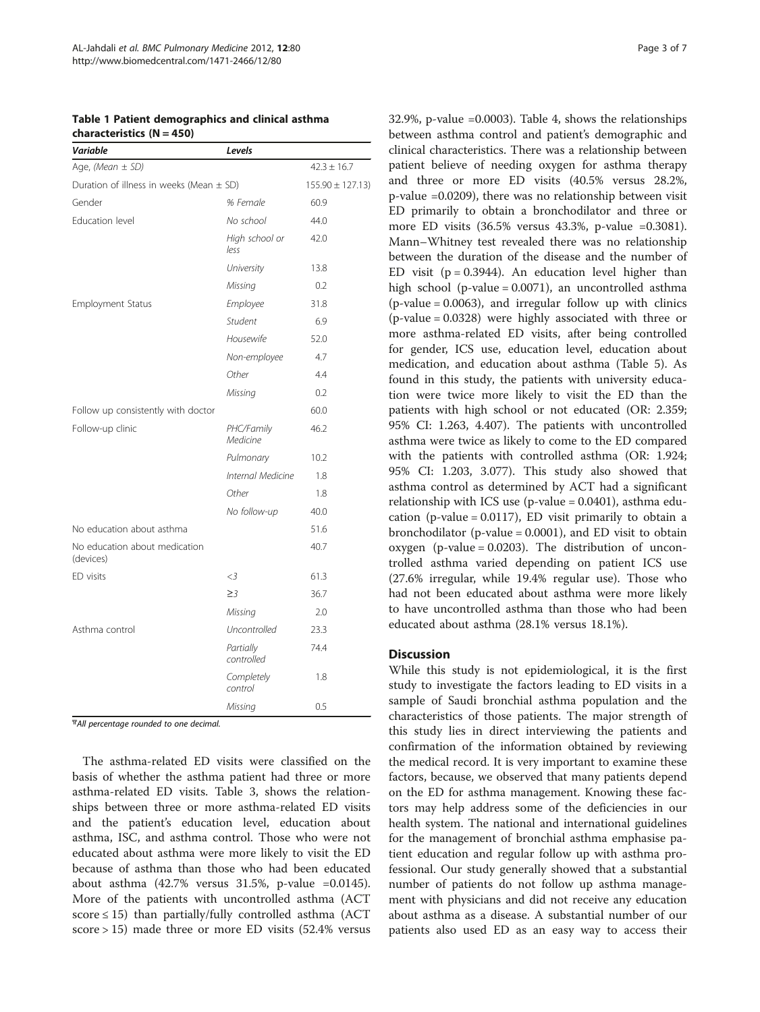<span id="page-2-0"></span>

| Table 1 Patient demographics and clinical asthma |  |  |
|--------------------------------------------------|--|--|
| characteristics $(N = 450)$                      |  |  |

| <b>Variable</b>                              | Levels                  |                     |
|----------------------------------------------|-------------------------|---------------------|
| Age, (Mean $\pm$ SD)                         |                         | $42.3 \pm 16.7$     |
| Duration of illness in weeks (Mean $\pm$ SD) |                         | $155.90 \pm 127.13$ |
| Gender                                       | % Female                | 60.9                |
| Education level                              | No school               | 44.0                |
|                                              | High school or<br>less  | 42.0                |
|                                              | University              | 13.8                |
|                                              | Missing                 | 0.2                 |
| <b>Employment Status</b>                     | Employee                | 31.8                |
|                                              | Student                 | 6.9                 |
|                                              | Housewife               | 52.0                |
|                                              | Non-employee            | 4.7                 |
|                                              | Other                   | 4.4                 |
|                                              | Missing                 | 0.2                 |
| Follow up consistently with doctor           |                         | 60.0                |
| Follow-up clinic                             | PHC/Family<br>Medicine  | 46.2                |
|                                              | Pulmonary               | 10.2                |
|                                              | Internal Medicine       | 1.8                 |
|                                              | Other                   | 1.8                 |
|                                              | No follow-up            | 40.0                |
| No education about asthma                    |                         | 51.6                |
| No education about medication<br>(devices)   |                         | 40.7                |
| ED visits                                    | $\leq$ 3                | 61.3                |
|                                              | $\geq$ 3                | 36.7                |
|                                              | Missing                 | 2.0                 |
| Asthma control                               | Uncontrolled            | 23.3                |
|                                              | Partially<br>controlled | 74.4                |
|                                              | Completely<br>control   | 1.8                 |
|                                              | Missing                 | 0.5                 |

╦All percentage rounded to one decimal.

The asthma-related ED visits were classified on the basis of whether the asthma patient had three or more asthma-related ED visits. Table [3](#page-3-0), shows the relationships between three or more asthma-related ED visits and the patient's education level, education about asthma, ISC, and asthma control. Those who were not educated about asthma were more likely to visit the ED because of asthma than those who had been educated about asthma (42.7% versus 31.5%, p-value =0.0145). More of the patients with uncontrolled asthma (ACT score  $\leq$  15) than partially/fully controlled asthma (ACT score > 15) made three or more ED visits (52.4% versus 32.9%, p-value =0.0003). Table [4,](#page-4-0) shows the relationships between asthma control and patient's demographic and clinical characteristics. There was a relationship between patient believe of needing oxygen for asthma therapy and three or more ED visits (40.5% versus 28.2%, p-value =0.0209), there was no relationship between visit ED primarily to obtain a bronchodilator and three or more ED visits (36.5% versus 43.3%, p-value =0.3081). Mann–Whitney test revealed there was no relationship between the duration of the disease and the number of ED visit ( $p = 0.3944$ ). An education level higher than high school (p-value = 0.0071), an uncontrolled asthma  $(p-value = 0.0063)$ , and irregular follow up with clinics (p-value = 0.0328) were highly associated with three or more asthma-related ED visits, after being controlled for gender, ICS use, education level, education about medication, and education about asthma (Table [5\)](#page-4-0). As found in this study, the patients with university education were twice more likely to visit the ED than the patients with high school or not educated (OR: 2.359; 95% CI: 1.263, 4.407). The patients with uncontrolled asthma were twice as likely to come to the ED compared with the patients with controlled asthma (OR: 1.924; 95% CI: 1.203, 3.077). This study also showed that asthma control as determined by ACT had a significant relationship with ICS use (p-value  $= 0.0401$ ), asthma education (p-value =  $0.0117$ ), ED visit primarily to obtain a bronchodilator (p-value = 0.0001), and ED visit to obtain oxygen (p-value  $= 0.0203$ ). The distribution of uncontrolled asthma varied depending on patient ICS use (27.6% irregular, while 19.4% regular use). Those who had not been educated about asthma were more likely to have uncontrolled asthma than those who had been educated about asthma (28.1% versus 18.1%).

#### **Discussion**

While this study is not epidemiological, it is the first study to investigate the factors leading to ED visits in a sample of Saudi bronchial asthma population and the characteristics of those patients. The major strength of this study lies in direct interviewing the patients and confirmation of the information obtained by reviewing the medical record. It is very important to examine these factors, because, we observed that many patients depend on the ED for asthma management. Knowing these factors may help address some of the deficiencies in our health system. The national and international guidelines for the management of bronchial asthma emphasise patient education and regular follow up with asthma professional. Our study generally showed that a substantial number of patients do not follow up asthma management with physicians and did not receive any education about asthma as a disease. A substantial number of our patients also used ED as an easy way to access their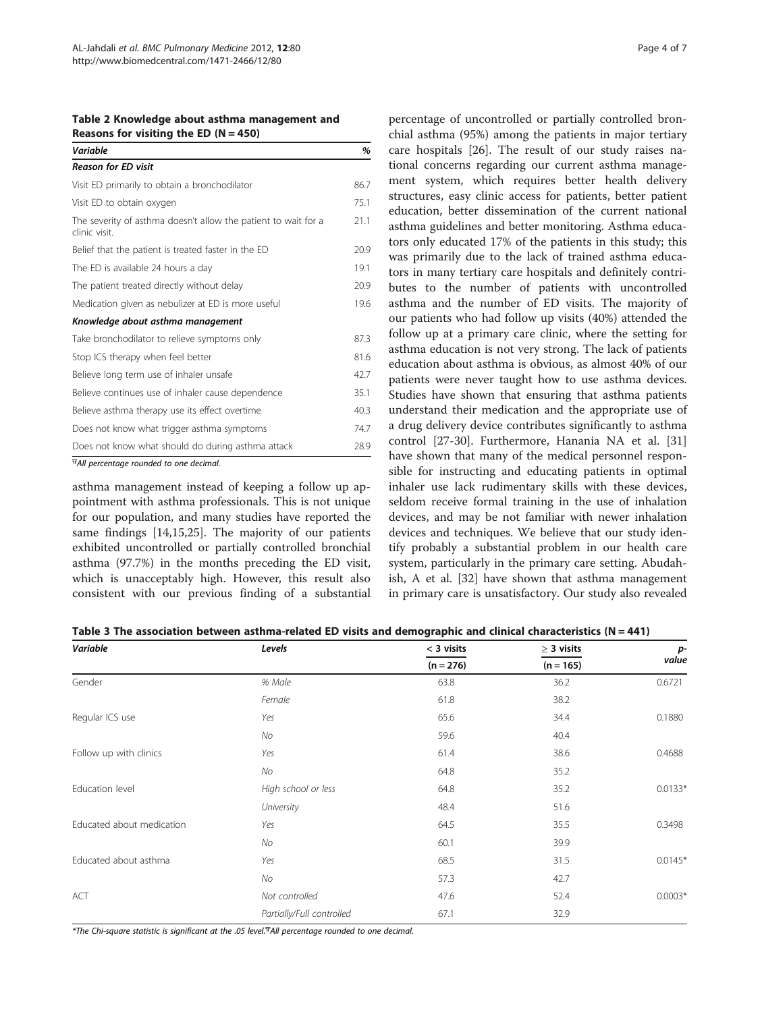<span id="page-3-0"></span>Table 2 Knowledge about asthma management and Reasons for visiting the ED  $(N = 450)$ 

| Variable                                                                        | %    |
|---------------------------------------------------------------------------------|------|
| <b>Reason for ED visit</b>                                                      |      |
| Visit ED primarily to obtain a bronchodilator                                   | 86.7 |
| Visit ED to obtain oxygen                                                       | 75.1 |
| The severity of asthma doesn't allow the patient to wait for a<br>clinic visit. | 21.1 |
| Belief that the patient is treated faster in the ED                             | 20.9 |
| The ED is available 24 hours a day                                              | 19.1 |
| The patient treated directly without delay                                      | 20.9 |
| Medication given as nebulizer at ED is more useful                              | 19.6 |
| Knowledge about asthma management                                               |      |
| Take bronchodilator to relieve symptoms only                                    | 87.3 |
| Stop ICS therapy when feel better                                               | 81.6 |
| Believe long term use of inhaler unsafe                                         | 42.7 |
| Believe continues use of inhaler cause dependence                               | 35.1 |
| Believe asthma therapy use its effect overtime                                  | 40.3 |
| Does not know what trigger asthma symptoms                                      | 74.7 |
| Does not know what should do during asthma attack                               | 28.9 |

asthma management instead of keeping a follow up appointment with asthma professionals. This is not unique for our population, and many studies have reported the same findings [[14,15,](#page-5-0)[25\]](#page-6-0). The majority of our patients exhibited uncontrolled or partially controlled bronchial asthma (97.7%) in the months preceding the ED visit, which is unacceptably high. However, this result also consistent with our previous finding of a substantial

percentage of uncontrolled or partially controlled bronchial asthma (95%) among the patients in major tertiary care hospitals [\[26](#page-6-0)]. The result of our study raises national concerns regarding our current asthma management system, which requires better health delivery structures, easy clinic access for patients, better patient education, better dissemination of the current national asthma guidelines and better monitoring. Asthma educators only educated 17% of the patients in this study; this was primarily due to the lack of trained asthma educators in many tertiary care hospitals and definitely contributes to the number of patients with uncontrolled asthma and the number of ED visits. The majority of our patients who had follow up visits (40%) attended the follow up at a primary care clinic, where the setting for asthma education is not very strong. The lack of patients education about asthma is obvious, as almost 40% of our patients were never taught how to use asthma devices. Studies have shown that ensuring that asthma patients understand their medication and the appropriate use of a drug delivery device contributes significantly to asthma control [[27-30\]](#page-6-0). Furthermore, Hanania NA et al. [[31](#page-6-0)] have shown that many of the medical personnel responsible for instructing and educating patients in optimal inhaler use lack rudimentary skills with these devices, seldom receive formal training in the use of inhalation devices, and may be not familiar with newer inhalation devices and techniques. We believe that our study identify probably a substantial problem in our health care system, particularly in the primary care setting. Abudahish, A et al. [[32\]](#page-6-0) have shown that asthma management in primary care is unsatisfactory. Our study also revealed

Table 3 The association between asthma-related ED visits and demographic and clinical characteristics ( $N = 441$ )

| Variable                  | Levels                    | < 3 visits  | $\geq$ 3 visits | $p-$      |  |
|---------------------------|---------------------------|-------------|-----------------|-----------|--|
|                           |                           | $(n = 276)$ | $(n = 165)$     | value     |  |
| Gender                    | % Male                    | 63.8        | 36.2            | 0.6721    |  |
|                           | Female                    | 61.8        | 38.2            |           |  |
| Regular ICS use           | Yes                       | 65.6        | 34.4            | 0.1880    |  |
|                           | No                        | 59.6        | 40.4            |           |  |
| Follow up with clinics    | Yes                       | 61.4        | 38.6            | 0.4688    |  |
|                           | No                        | 64.8        | 35.2            |           |  |
| Education level           | High school or less       | 64.8        | 35.2            | $0.0133*$ |  |
|                           | University                | 48.4        | 51.6            |           |  |
| Educated about medication | Yes                       | 64.5        | 35.5            | 0.3498    |  |
|                           | No                        | 60.1        | 39.9            |           |  |
| Educated about asthma     | Yes                       | 68.5        | 31.5            | $0.0145*$ |  |
|                           | N <sub>O</sub>            | 57.3        | 42.7            |           |  |
| ACT                       | Not controlled            | 47.6        | 52.4            | $0.0003*$ |  |
|                           | Partially/Full controlled | 67.1        | 32.9            |           |  |

\*The Chi-square statistic is significant at the .05 level.╦All percentage rounded to one decimal.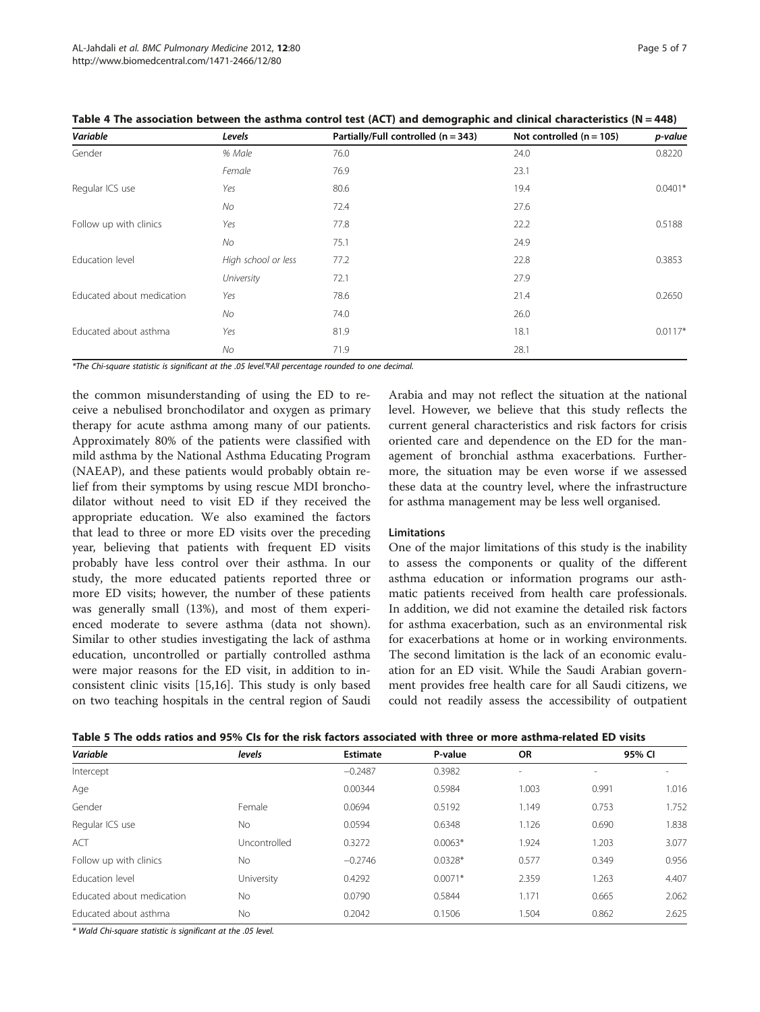| Variable                  | Levels              | Partially/Full controlled $(n = 343)$ | Not controlled ( $n = 105$ ) | p-value   |
|---------------------------|---------------------|---------------------------------------|------------------------------|-----------|
| Gender                    | % Male              | 76.0                                  | 24.0                         | 0.8220    |
|                           | Female              | 76.9                                  | 23.1                         |           |
| Regular ICS use           | Yes                 | 80.6                                  | 19.4                         | $0.0401*$ |
|                           | No                  | 72.4                                  | 27.6                         |           |
| Follow up with clinics    | Yes                 | 77.8                                  | 22.2                         | 0.5188    |
|                           | No                  | 75.1                                  | 24.9                         |           |
| Education level           | High school or less | 77.2                                  | 22.8                         | 0.3853    |
|                           | University          | 72.1                                  | 27.9                         |           |
| Educated about medication | Yes                 | 78.6                                  | 21.4                         | 0.2650    |
|                           | No                  | 74.0                                  | 26.0                         |           |
| Educated about asthma     | Yes                 | 81.9                                  | 18.1                         | $0.0117*$ |
|                           | No                  | 71.9                                  | 28.1                         |           |

<span id="page-4-0"></span>

\*The Chi-square statistic is significant at the .05 level.╦All percentage rounded to one decimal.

the common misunderstanding of using the ED to receive a nebulised bronchodilator and oxygen as primary therapy for acute asthma among many of our patients. Approximately 80% of the patients were classified with mild asthma by the National Asthma Educating Program (NAEAP), and these patients would probably obtain relief from their symptoms by using rescue MDI bronchodilator without need to visit ED if they received the appropriate education. We also examined the factors that lead to three or more ED visits over the preceding year, believing that patients with frequent ED visits probably have less control over their asthma. In our study, the more educated patients reported three or more ED visits; however, the number of these patients was generally small (13%), and most of them experienced moderate to severe asthma (data not shown). Similar to other studies investigating the lack of asthma education, uncontrolled or partially controlled asthma were major reasons for the ED visit, in addition to inconsistent clinic visits [\[15,16\]](#page-5-0). This study is only based on two teaching hospitals in the central region of Saudi

Arabia and may not reflect the situation at the national level. However, we believe that this study reflects the current general characteristics and risk factors for crisis oriented care and dependence on the ED for the management of bronchial asthma exacerbations. Furthermore, the situation may be even worse if we assessed these data at the country level, where the infrastructure for asthma management may be less well organised.

#### Limitations

One of the major limitations of this study is the inability to assess the components or quality of the different asthma education or information programs our asthmatic patients received from health care professionals. In addition, we did not examine the detailed risk factors for asthma exacerbation, such as an environmental risk for exacerbations at home or in working environments. The second limitation is the lack of an economic evaluation for an ED visit. While the Saudi Arabian government provides free health care for all Saudi citizens, we could not readily assess the accessibility of outpatient

| Table 5 The odds ratios and 95% CIs for the risk factors associated with three or more asthma-related ED visits |
|-----------------------------------------------------------------------------------------------------------------|
|                                                                                                                 |

| Variable                  | levels       | <b>Estimate</b><br>$-0.2487$ | P-value<br>0.3982 | <b>OR</b><br>$\overline{\phantom{a}}$ | 95% CI                   |       |
|---------------------------|--------------|------------------------------|-------------------|---------------------------------------|--------------------------|-------|
| Intercept                 |              |                              |                   |                                       | $\overline{\phantom{a}}$ |       |
| Age                       |              | 0.00344                      | 0.5984            | 1.003                                 | 0.991                    | 1.016 |
| Gender                    | Female       | 0.0694                       | 0.5192            | 1.149                                 | 0.753                    | 1.752 |
| Regular ICS use           | No.          | 0.0594                       | 0.6348            | 1.126                                 | 0.690                    | 1.838 |
| ACT                       | Uncontrolled | 0.3272                       | $0.0063*$         | 1.924                                 | 1.203                    | 3.077 |
| Follow up with clinics    | No.          | $-0.2746$                    | $0.0328*$         | 0.577                                 | 0.349                    | 0.956 |
| <b>Fducation level</b>    | University   | 0.4292                       | $0.0071*$         | 2.359                                 | 1.263                    | 4.407 |
| Educated about medication | No.          | 0.0790                       | 0.5844            | 1.171                                 | 0.665                    | 2.062 |
| Educated about asthma     | No.          | 0.2042                       | 0.1506            | 1.504                                 | 0.862                    | 2.625 |

\* Wald Chi-square statistic is significant at the .05 level.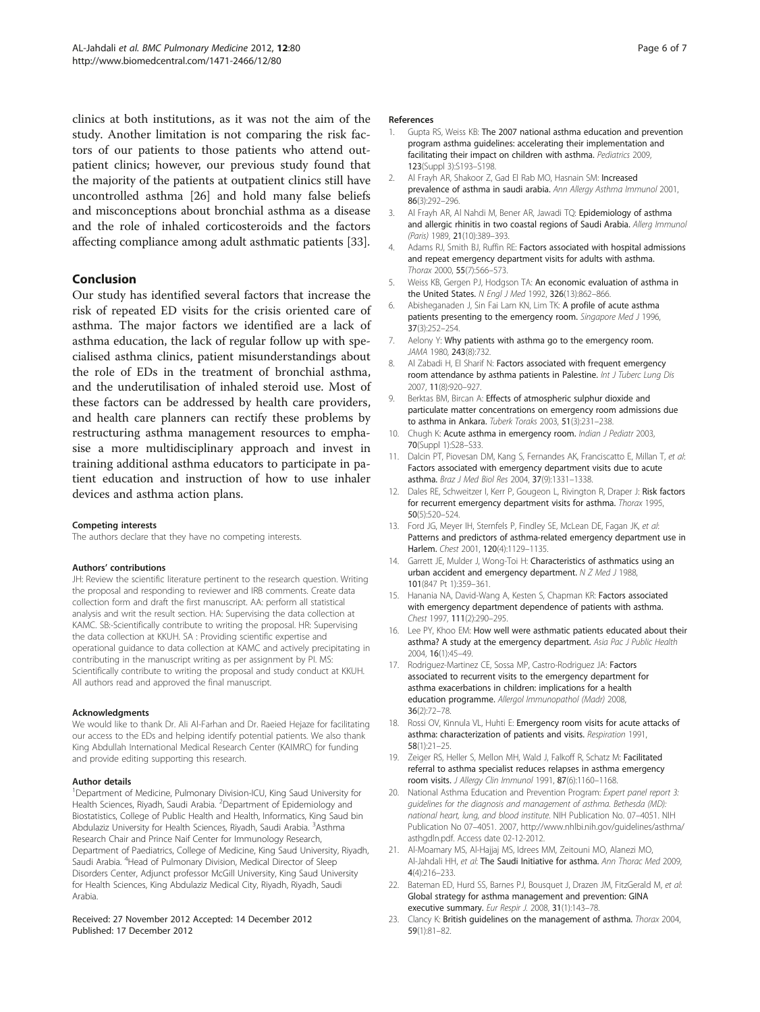<span id="page-5-0"></span>clinics at both institutions, as it was not the aim of the study. Another limitation is not comparing the risk factors of our patients to those patients who attend outpatient clinics; however, our previous study found that the majority of the patients at outpatient clinics still have uncontrolled asthma [\[26\]](#page-6-0) and hold many false beliefs and misconceptions about bronchial asthma as a disease and the role of inhaled corticosteroids and the factors affecting compliance among adult asthmatic patients [\[33\]](#page-6-0).

## Conclusion

Our study has identified several factors that increase the risk of repeated ED visits for the crisis oriented care of asthma. The major factors we identified are a lack of asthma education, the lack of regular follow up with specialised asthma clinics, patient misunderstandings about the role of EDs in the treatment of bronchial asthma, and the underutilisation of inhaled steroid use. Most of these factors can be addressed by health care providers, and health care planners can rectify these problems by restructuring asthma management resources to emphasise a more multidisciplinary approach and invest in training additional asthma educators to participate in patient education and instruction of how to use inhaler devices and asthma action plans.

#### Competing interests

The authors declare that they have no competing interests.

#### Authors' contributions

JH: Review the scientific literature pertinent to the research question. Writing the proposal and responding to reviewer and IRB comments. Create data collection form and draft the first manuscript. AA: perform all statistical analysis and writ the result section. HA: Supervising the data collection at KAMC. SB:-Scientifically contribute to writing the proposal. HR: Supervising the data collection at KKUH. SA : Providing scientific expertise and operational guidance to data collection at KAMC and actively precipitating in contributing in the manuscript writing as per assignment by PI. MS: Scientifically contribute to writing the proposal and study conduct at KKUH. All authors read and approved the final manuscript.

#### Acknowledgments

We would like to thank Dr. Ali Al-Farhan and Dr. Raeied Hejaze for facilitating our access to the EDs and helping identify potential patients. We also thank King Abdullah International Medical Research Center (KAIMRC) for funding and provide editing supporting this research.

#### Author details

<sup>1</sup>Department of Medicine, Pulmonary Division-ICU, King Saud University for Health Sciences, Riyadh, Saudi Arabia. <sup>2</sup>Department of Epidemiology and Biostatistics, College of Public Health and Health, Informatics, King Saud bin Abdulaziz University for Health Sciences, Riyadh, Saudi Arabia. <sup>3</sup>Asthma Research Chair and Prince Naif Center for Immunology Research, Department of Paediatrics, College of Medicine, King Saud University, Riyadh, Saudi Arabia. <sup>4</sup>Head of Pulmonary Division, Medical Director of Sleep Disorders Center, Adjunct professor McGill University, King Saud University for Health Sciences, King Abdulaziz Medical City, Riyadh, Riyadh, Saudi Arabia.

#### Received: 27 November 2012 Accepted: 14 December 2012 Published: 17 December 2012

#### References

- 1. Gupta RS, Weiss KB: The 2007 national asthma education and prevention program asthma guidelines: accelerating their implementation and facilitating their impact on children with asthma. Pediatrics 2009, 123(Suppl 3):S193–S198.
- 2. Al Frayh AR, Shakoor Z, Gad El Rab MO, Hasnain SM: Increased prevalence of asthma in saudi arabia. Ann Allergy Asthma Immunol 2001, 86(3):292–296.
- 3. Al Frayh AR, Al Nahdi M, Bener AR, Jawadi TQ: Epidemiology of asthma and allergic rhinitis in two coastal regions of Saudi Arabia. Allerg Immunol (Paris) 1989, 21(10):389–393.
- 4. Adams RJ, Smith BJ, Ruffin RE: Factors associated with hospital admissions and repeat emergency department visits for adults with asthma. Thorax 2000, 55(7):566–573.
- 5. Weiss KB, Gergen PJ, Hodgson TA: An economic evaluation of asthma in the United States. N Engl J Med 1992, 326(13):862-866.
- 6. Abisheganaden J, Sin Fai Lam KN, Lim TK: A profile of acute asthma patients presenting to the emergency room. Singapore Med J 1996, 37(3):252–254.
- 7. Aelony Y: Why patients with asthma go to the emergency room. JAMA 1980, 243(8):732.
- 8. Al Zabadi H, El Sharif N: Factors associated with frequent emergency room attendance by asthma patients in Palestine. Int J Tuberc Lung Dis 2007, 11(8):920–927.
- 9. Berktas BM, Bircan A: Effects of atmospheric sulphur dioxide and particulate matter concentrations on emergency room admissions due to asthma in Ankara. Tuberk Toraks 2003, 51(3):231–238.
- 10. Chugh K: Acute asthma in emergency room. Indian J Pediatr 2003, 70(Suppl 1):S28–S33.
- 11. Dalcin PT, Piovesan DM, Kang S, Fernandes AK, Franciscatto E, Millan T, et al: Factors associated with emergency department visits due to acute asthma. Braz J Med Biol Res 2004, 37(9):1331–1338.
- 12. Dales RE, Schweitzer I, Kerr P, Gougeon L, Rivington R, Draper J: Risk factors for recurrent emergency department visits for asthma. Thorax 1995, 50(5):520–524.
- 13. Ford JG, Meyer IH, Sternfels P, Findley SE, McLean DE, Fagan JK, et al: Patterns and predictors of asthma-related emergency department use in Harlem. Chest 2001, 120(4):1129–1135.
- 14. Garrett JE, Mulder J, Wong-Toi H: Characteristics of asthmatics using an urban accident and emergency department.  $N Z Med J$  1988, 101(847 Pt 1):359–361.
- 15. Hanania NA, David-Wang A, Kesten S, Chapman KR: Factors associated with emergency department dependence of patients with asthma. Chest 1997, 111(2):290–295.
- 16. Lee PY, Khoo EM: How well were asthmatic patients educated about their asthma? A study at the emergency department. Asia Pac J Public Health 2004, 16(1):45–49.
- 17. Rodriguez-Martinez CE, Sossa MP, Castro-Rodriguez JA: Factors associated to recurrent visits to the emergency department for asthma exacerbations in children: implications for a health education programme. Allergol Immunopathol (Madr) 2008, 36(2):72–78.
- 18. Rossi OV, Kinnula VL, Huhti E: Emergency room visits for acute attacks of asthma: characterization of patients and visits. Respiration 1991, 58(1):21–25.
- 19. Zeiger RS, Heller S, Mellon MH, Wald J, Falkoff R, Schatz M: Facilitated referral to asthma specialist reduces relapses in asthma emergency room visits. J Allergy Clin Immunol 1991, 87(6):1160–1168.
- 20. National Asthma Education and Prevention Program: Expert panel report 3: guidelines for the diagnosis and management of asthma. Bethesda (MD): national heart, lung, and blood institute. NIH Publication No. 07–4051. NIH Publication No 07–4051. 2007, [http://www.nhlbi.nih.gov/guidelines/asthma/](http://www.nhlbi.nih.gov/guidelines/asthma/asthgdln.pdf) [asthgdln.pdf](http://www.nhlbi.nih.gov/guidelines/asthma/asthgdln.pdf). Access date 02-12-2012.
- 21. Al-Moamary MS, Al-Hajjaj MS, Idrees MM, Zeitouni MO, Alanezi MO, Al-Jahdali HH, et al: The Saudi Initiative for asthma. Ann Thorac Med 2009, 4(4):216–233.
- 22. Bateman ED, Hurd SS, Barnes PJ, Bousquet J, Drazen JM, FitzGerald M, et al: Global strategy for asthma management and prevention: GINA executive summary. Eur Respir J. 2008, 31(1):143–78.
- 23. Clancy K: British guidelines on the management of asthma. Thorax 2004, 59(1):81–82.